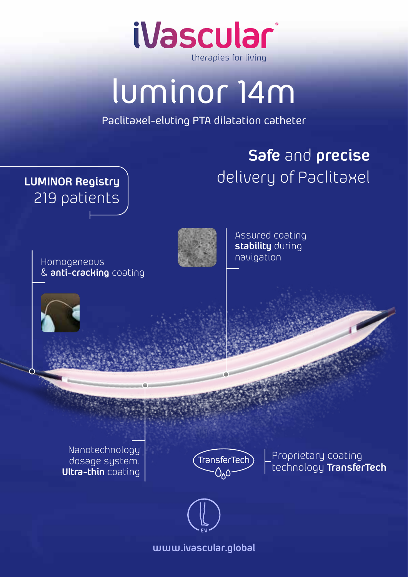

## luminor 14m

Paclitaxel-eluting PTA dilatation catheter

## **Safe** and **precise** delivery of Paclitaxel



Assured coating **stability** during navigation

Nanotechnology dosage system. **Ultra-thin** coating

**LUMINOR Registry**

219 patients

Homogeneous

& **anti-cracking** coating



TransferTech) Proprietary coating technology **TransferTech**



**www.ivascular.global**